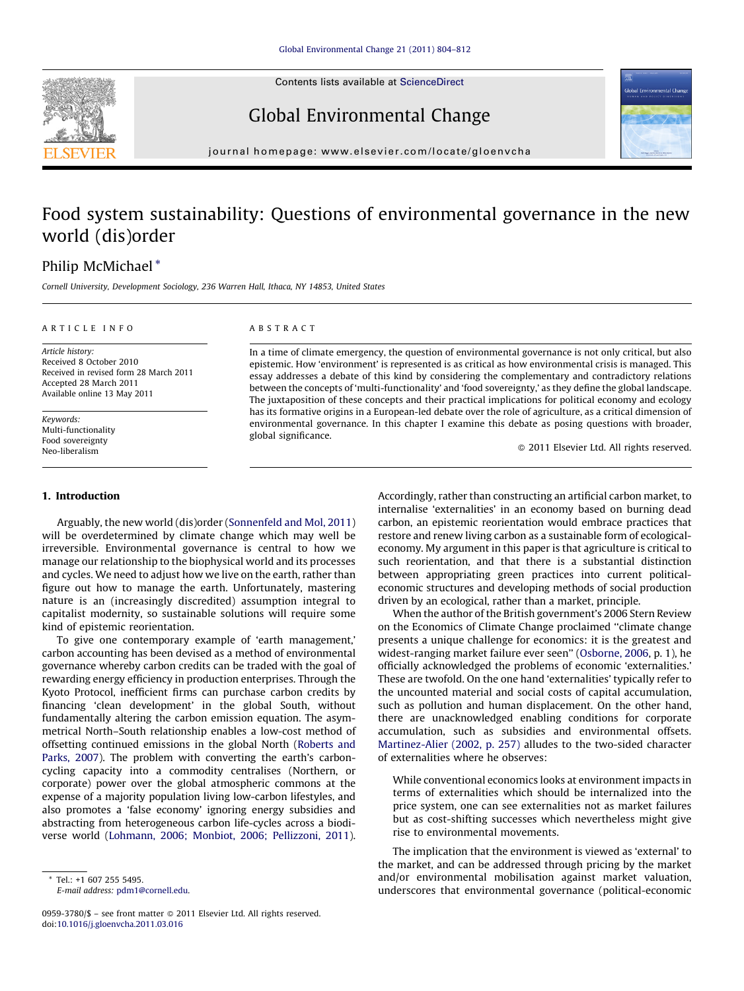Contents lists available at [ScienceDirect](http://www.sciencedirect.com/science/journal/09593780)





# Global Environmental Change

journal homepage: www.elsevier.com/locate/gloenvcha

# Food system sustainability: Questions of environmental governance in the new world (dis)order

# Philip McMichael \*

Cornell University, Development Sociology, 236 Warren Hall, Ithaca, NY 14853, United States

#### A R T I C L E I N F O

#### A B S T R A C T

Article history: Received 8 October 2010 Received in revised form 28 March 2011 Accepted 28 March 2011 Available online 13 May 2011

Keywords: Multi-functionality Food sovereignty Neo-liberalism

## 1. Introduction

Arguably, the new world (dis)order [\(Sonnenfeld](#page-8-0) and Mol, 2011) will be overdetermined by climate change which may well be irreversible. Environmental governance is central to how we manage our relationship to the biophysical world and its processes and cycles. We need to adjust how we live on the earth, rather than figure out how to manage the earth. Unfortunately, mastering nature is an (increasingly discredited) assumption integral to capitalist modernity, so sustainable solutions will require some kind of epistemic reorientation.

To give one contemporary example of 'earth management,' carbon accounting has been devised as a method of environmental governance whereby carbon credits can be traded with the goal of rewarding energy efficiency in production enterprises. Through the Kyoto Protocol, inefficient firms can purchase carbon credits by financing 'clean development' in the global South, without fundamentally altering the carbon emission equation. The asymmetrical North–South relationship enables a low-cost method of offsetting continued emissions in the global North [\(Roberts](#page-8-0) and [Parks,](#page-8-0) 2007). The problem with converting the earth's carboncycling capacity into a commodity centralises (Northern, or corporate) power over the global atmospheric commons at the expense of a majority population living low-carbon lifestyles, and also promotes a 'false economy' ignoring energy subsidies and abstracting from heterogeneous carbon life-cycles across a biodiverse world (Lohmann, 2006; Monbiot, 2006; [Pellizzoni,](#page-7-0) 2011).

E-mail address: [pdm1@cornell.edu](mailto:pdm1@cornell.edu).

0959-3780/\$ – see front matter © 2011 Elsevier Ltd. All rights reserved. doi:[10.1016/j.gloenvcha.2011.03.016](http://dx.doi.org/10.1016/j.gloenvcha.2011.03.016)

In a time of climate emergency, the question of environmental governance is not only critical, but also epistemic. How 'environment' is represented is as critical as how environmental crisis is managed. This essay addresses a debate of this kind by considering the complementary and contradictory relations between the concepts of 'multi-functionality' and 'food sovereignty,' as they define the global landscape. The juxtaposition of these concepts and their practical implications for political economy and ecology has its formative origins in a European-led debate over the role of agriculture, as a critical dimension of environmental governance. In this chapter I examine this debate as posing questions with broader, global significance.

- 2011 Elsevier Ltd. All rights reserved.

Accordingly, rather than constructing an artificial carbon market, to internalise 'externalities' in an economy based on burning dead carbon, an epistemic reorientation would embrace practices that restore and renew living carbon as a sustainable form of ecologicaleconomy. My argument in this paper is that agriculture is critical to such reorientation, and that there is a substantial distinction between appropriating green practices into current politicaleconomic structures and developing methods of social production driven by an ecological, rather than a market, principle.

When the author of the British government's 2006 Stern Review on the Economics of Climate Change proclaimed ''climate change presents a unique challenge for economics: it is the greatest and widest-ranging market failure ever seen'' [\(Osborne,](#page-8-0) 2006, p. 1), he officially acknowledged the problems of economic 'externalities.' These are twofold. On the one hand 'externalities' typically refer to the uncounted material and social costs of capital accumulation, such as pollution and human displacement. On the other hand, there are unacknowledged enabling conditions for corporate accumulation, such as subsidies and environmental offsets. [Martinez-Alier](#page-8-0) (2002, p. 257) alludes to the two-sided character of externalities where he observes:

While conventional economics looks at environment impacts in terms of externalities which should be internalized into the price system, one can see externalities not as market failures but as cost-shifting successes which nevertheless might give rise to environmental movements.

The implication that the environment is viewed as 'external' to the market, and can be addressed through pricing by the market and/or environmental mobilisation against market valuation, underscores that environmental governance (political-economic

<sup>\*</sup> Tel.: +1 607 255 5495.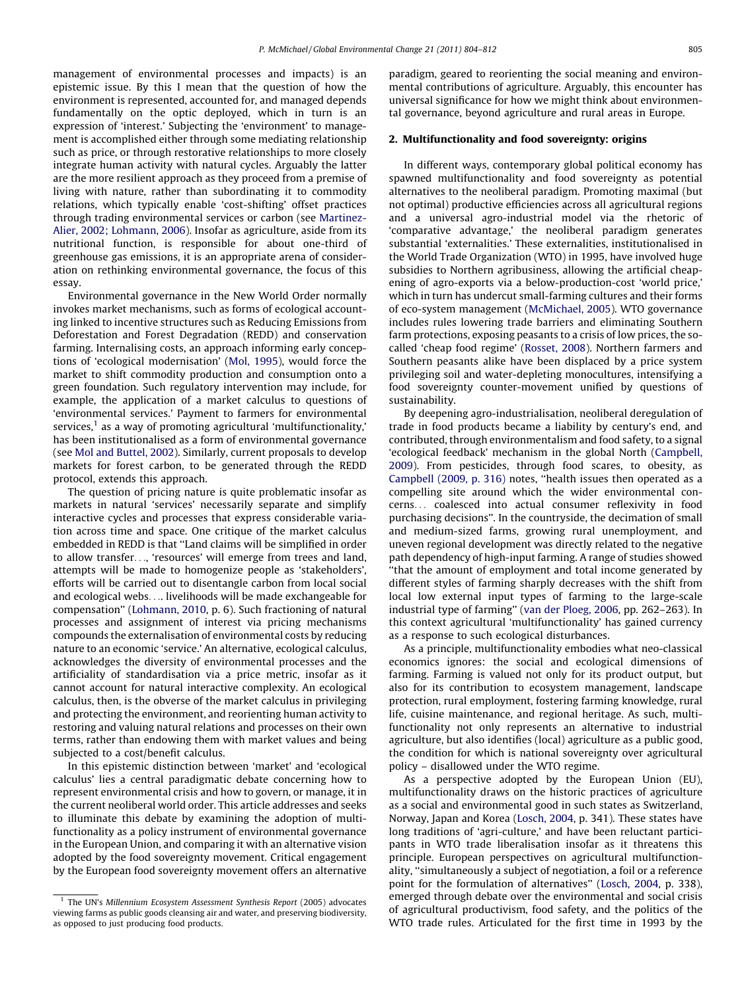management of environmental processes and impacts) is an epistemic issue. By this I mean that the question of how the environment is represented, accounted for, and managed depends fundamentally on the optic deployed, which in turn is an expression of 'interest.' Subjecting the 'environment' to management is accomplished either through some mediating relationship such as price, or through restorative relationships to more closely integrate human activity with natural cycles. Arguably the latter are the more resilient approach as they proceed from a premise of living with nature, rather than subordinating it to commodity relations, which typically enable 'cost-shifting' offset practices through trading environmental services or carbon (see [Martinez-](#page-8-0)Alier, 2002; [Lohmann,](#page-8-0) 2006). Insofar as agriculture, aside from its nutritional function, is responsible for about one-third of greenhouse gas emissions, it is an appropriate arena of consideration on rethinking environmental governance, the focus of this essay.

Environmental governance in the New World Order normally invokes market mechanisms, such as forms of ecological accounting linked to incentive structures such as Reducing Emissions from Deforestation and Forest Degradation (REDD) and conservation farming. Internalising costs, an approach informing early conceptions of 'ecological modernisation' (Mol, [1995\)](#page-8-0), would force the market to shift commodity production and consumption onto a green foundation. Such regulatory intervention may include, for example, the application of a market calculus to questions of 'environmental services.' Payment to farmers for environmental services, $<sup>1</sup>$  as a way of promoting agricultural 'multifunctionality,'</sup> has been institutionalised as a form of environmental governance (see Mol and [Buttel,](#page-8-0) 2002). Similarly, current proposals to develop markets for forest carbon, to be generated through the REDD protocol, extends this approach.

The question of pricing nature is quite problematic insofar as markets in natural 'services' necessarily separate and simplify interactive cycles and processes that express considerable variation across time and space. One critique of the market calculus embedded in REDD is that ''Land claims will be simplified in order to allow transfer. . ., 'resources' will emerge from trees and land, attempts will be made to homogenize people as 'stakeholders', efforts will be carried out to disentangle carbon from local social and ecological webs. . .. livelihoods will be made exchangeable for compensation'' ([Lohmann,](#page-7-0) 2010, p. 6). Such fractioning of natural processes and assignment of interest via pricing mechanisms compounds the externalisation of environmental costs by reducing nature to an economic 'service.' An alternative, ecological calculus, acknowledges the diversity of environmental processes and the artificiality of standardisation via a price metric, insofar as it cannot account for natural interactive complexity. An ecological calculus, then, is the obverse of the market calculus in privileging and protecting the environment, and reorienting human activity to restoring and valuing natural relations and processes on their own terms, rather than endowing them with market values and being subjected to a cost/benefit calculus.

In this epistemic distinction between 'market' and 'ecological calculus' lies a central paradigmatic debate concerning how to represent environmental crisis and how to govern, or manage, it in the current neoliberal world order. This article addresses and seeks to illuminate this debate by examining the adoption of multifunctionality as a policy instrument of environmental governance in the European Union, and comparing it with an alternative vision adopted by the food sovereignty movement. Critical engagement by the European food sovereignty movement offers an alternative paradigm, geared to reorienting the social meaning and environmental contributions of agriculture. Arguably, this encounter has universal significance for how we might think about environmental governance, beyond agriculture and rural areas in Europe.

# 2. Multifunctionality and food sovereignty: origins

In different ways, contemporary global political economy has spawned multifunctionality and food sovereignty as potential alternatives to the neoliberal paradigm. Promoting maximal (but not optimal) productive efficiencies across all agricultural regions and a universal agro-industrial model via the rhetoric of 'comparative advantage,' the neoliberal paradigm generates substantial 'externalities.' These externalities, institutionalised in the World Trade Organization (WTO) in 1995, have involved huge subsidies to Northern agribusiness, allowing the artificial cheapening of agro-exports via a below-production-cost 'world price,' which in turn has undercut small-farming cultures and their forms of eco-system management [\(McMichael,](#page-8-0) 2005). WTO governance includes rules lowering trade barriers and eliminating Southern farm protections, exposing peasants to a crisis of low prices, the socalled 'cheap food regime' [\(Rosset,](#page-8-0) 2008). Northern farmers and Southern peasants alike have been displaced by a price system privileging soil and water-depleting monocultures, intensifying a food sovereignty counter-movement unified by questions of sustainability.

By deepening agro-industrialisation, neoliberal deregulation of trade in food products became a liability by century's end, and contributed, through environmentalism and food safety, to a signal 'ecological feedback' mechanism in the global North ([Campbell,](#page-7-0) [2009\)](#page-7-0). From pesticides, through food scares, to obesity, as [Campbell](#page-7-0) (2009, p. 316) notes, ''health issues then operated as a compelling site around which the wider environmental concerns. . . coalesced into actual consumer reflexivity in food purchasing decisions''. In the countryside, the decimation of small and medium-sized farms, growing rural unemployment, and uneven regional development was directly related to the negative path dependency of high-input farming. A range of studies showed ''that the amount of employment and total income generated by different styles of farming sharply decreases with the shift from local low external input types of farming to the large-scale industrial type of farming'' (van der [Ploeg,](#page-8-0) 2006, pp. 262–263). In this context agricultural 'multifunctionality' has gained currency as a response to such ecological disturbances.

As a principle, multifunctionality embodies what neo-classical economics ignores: the social and ecological dimensions of farming. Farming is valued not only for its product output, but also for its contribution to ecosystem management, landscape protection, rural employment, fostering farming knowledge, rural life, cuisine maintenance, and regional heritage. As such, multifunctionality not only represents an alternative to industrial agriculture, but also identifies (local) agriculture as a public good, the condition for which is national sovereignty over agricultural policy – disallowed under the WTO regime.

As a perspective adopted by the European Union (EU), multifunctionality draws on the historic practices of agriculture as a social and environmental good in such states as Switzerland, Norway, Japan and Korea [\(Losch,](#page-7-0) 2004, p. 341). These states have long traditions of 'agri-culture,' and have been reluctant participants in WTO trade liberalisation insofar as it threatens this principle. European perspectives on agricultural multifunctionality, ''simultaneously a subject of negotiation, a foil or a reference point for the formulation of alternatives'' [\(Losch,](#page-7-0) 2004, p. 338), emerged through debate over the environmental and social crisis of agricultural productivism, food safety, and the politics of the WTO trade rules. Articulated for the first time in 1993 by the

 $1$  The UN's Millennium Ecosystem Assessment Synthesis Report (2005) advocates viewing farms as public goods cleansing air and water, and preserving biodiversity, as opposed to just producing food products.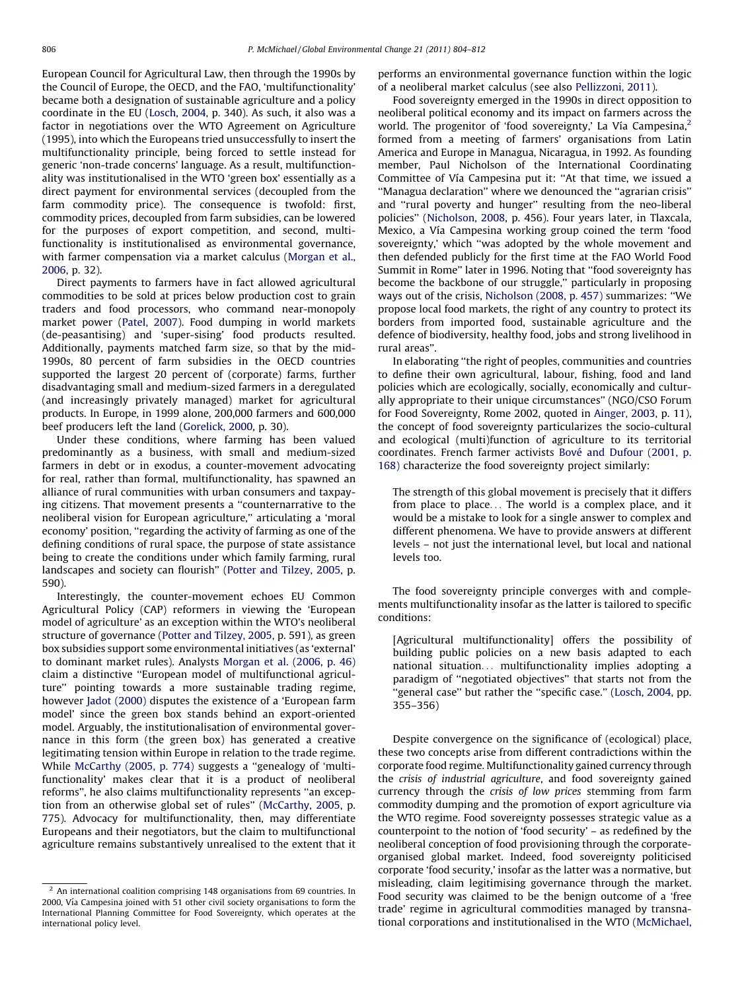European Council for Agricultural Law, then through the 1990s by the Council of Europe, the OECD, and the FAO, 'multifunctionality' became both a designation of sustainable agriculture and a policy coordinate in the EU ([Losch,](#page-7-0) 2004, p. 340). As such, it also was a factor in negotiations over the WTO Agreement on Agriculture (1995), into which the Europeans tried unsuccessfully to insert the multifunctionality principle, being forced to settle instead for generic 'non-trade concerns' language. As a result, multifunctionality was institutionalised in the WTO 'green box' essentially as a direct payment for environmental services (decoupled from the farm commodity price). The consequence is twofold: first, commodity prices, decoupled from farm subsidies, can be lowered for the purposes of export competition, and second, multifunctionality is institutionalised as environmental governance, with farmer compensation via a market calculus ([Morgan](#page-8-0) et al., [2006,](#page-8-0) p. 32).

Direct payments to farmers have in fact allowed agricultural commodities to be sold at prices below production cost to grain traders and food processors, who command near-monopoly market power ([Patel,](#page-8-0) 2007). Food dumping in world markets (de-peasantising) and 'super-sising' food products resulted. Additionally, payments matched farm size, so that by the mid-1990s, 80 percent of farm subsidies in the OECD countries supported the largest 20 percent of (corporate) farms, further disadvantaging small and medium-sized farmers in a deregulated (and increasingly privately managed) market for agricultural products. In Europe, in 1999 alone, 200,000 farmers and 600,000 beef producers left the land ([Gorelick,](#page-7-0) 2000, p. 30).

Under these conditions, where farming has been valued predominantly as a business, with small and medium-sized farmers in debt or in exodus, a counter-movement advocating for real, rather than formal, multifunctionality, has spawned an alliance of rural communities with urban consumers and taxpaying citizens. That movement presents a ''counternarrative to the neoliberal vision for European agriculture,'' articulating a 'moral economy' position, ''regarding the activity of farming as one of the defining conditions of rural space, the purpose of state assistance being to create the conditions under which family farming, rural landscapes and society can flourish'' (Potter and [Tilzey,](#page-8-0) 2005, p. 590).

Interestingly, the counter-movement echoes EU Common Agricultural Policy (CAP) reformers in viewing the 'European model of agriculture' as an exception within the WTO's neoliberal structure of governance (Potter and [Tilzey,](#page-8-0) 2005, p. 591), as green box subsidies support some environmental initiatives (as 'external' to dominant market rules). Analysts [Morgan](#page-8-0) et al. (2006, p. 46) claim a distinctive ''European model of multifunctional agriculture'' pointing towards a more sustainable trading regime, however Jadot [\(2000\)](#page-7-0) disputes the existence of a 'European farm model' since the green box stands behind an export-oriented model. Arguably, the institutionalisation of environmental governance in this form (the green box) has generated a creative legitimating tension within Europe in relation to the trade regime. While [McCarthy](#page-8-0) (2005, p. 774) suggests a ''genealogy of 'multifunctionality' makes clear that it is a product of neoliberal reforms'', he also claims multifunctionality represents ''an exception from an otherwise global set of rules'' ([McCarthy,](#page-8-0) 2005, p. 775). Advocacy for multifunctionality, then, may differentiate Europeans and their negotiators, but the claim to multifunctional agriculture remains substantively unrealised to the extent that it performs an environmental governance function within the logic of a neoliberal market calculus (see also [Pellizzoni,](#page-8-0) 2011).

Food sovereignty emerged in the 1990s in direct opposition to neoliberal political economy and its impact on farmers across the world. The progenitor of 'food sovereignty,' La Vía Campesina, $<sup>2</sup>$ </sup> formed from a meeting of farmers' organisations from Latin America and Europe in Managua, Nicaragua, in 1992. As founding member, Paul Nicholson of the International Coordinating Committee of Vía Campesina put it: "At that time, we issued a ''Managua declaration'' where we denounced the ''agrarian crisis'' and ''rural poverty and hunger'' resulting from the neo-liberal policies'' [\(Nicholson,](#page-8-0) 2008, p. 456). Four years later, in Tlaxcala, Mexico, a Vía Campesina working group coined the term 'food sovereignty,' which ''was adopted by the whole movement and then defended publicly for the first time at the FAO World Food Summit in Rome'' later in 1996. Noting that ''food sovereignty has become the backbone of our struggle,'' particularly in proposing ways out of the crisis, [Nicholson](#page-8-0) (2008, p. 457) summarizes: ''We propose local food markets, the right of any country to protect its borders from imported food, sustainable agriculture and the defence of biodiversity, healthy food, jobs and strong livelihood in rural areas''.

In elaborating ''the right of peoples, communities and countries to define their own agricultural, labour, fishing, food and land policies which are ecologically, socially, economically and culturally appropriate to their unique circumstances'' (NGO/CSO Forum for Food Sovereignty, Rome 2002, quoted in [Ainger,](#page-7-0) 2003, p. 11), the concept of food sovereignty particularizes the socio-cultural and ecological (multi)function of agriculture to its territorial coordinates. French farmer activists Bové and [Dufour](#page-7-0) (2001, p. [168\)](#page-7-0) characterize the food sovereignty project similarly:

The strength of this global movement is precisely that it differs from place to place... The world is a complex place, and it would be a mistake to look for a single answer to complex and different phenomena. We have to provide answers at different levels – not just the international level, but local and national levels too.

The food sovereignty principle converges with and complements multifunctionality insofar as the latter is tailored to specific conditions:

[Agricultural multifunctionality] offers the possibility of building public policies on a new basis adapted to each national situation... multifunctionality implies adopting a paradigm of ''negotiated objectives'' that starts not from the ''general case'' but rather the ''specific case.'' [\(Losch,](#page-7-0) 2004, pp. 355–356)

Despite convergence on the significance of (ecological) place, these two concepts arise from different contradictions within the corporate food regime. Multifunctionality gained currency through the crisis of industrial agriculture, and food sovereignty gained currency through the crisis of low prices stemming from farm commodity dumping and the promotion of export agriculture via the WTO regime. Food sovereignty possesses strategic value as a counterpoint to the notion of 'food security' – as redefined by the neoliberal conception of food provisioning through the corporateorganised global market. Indeed, food sovereignty politicised corporate 'food security,' insofar as the latter was a normative, but misleading, claim legitimising governance through the market. Food security was claimed to be the benign outcome of a 'free trade' regime in agricultural commodities managed by transnational corporations and institutionalised in the WTO ([McMichael,](#page-8-0)

<sup>&</sup>lt;sup>2</sup> An international coalition comprising 148 organisations from 69 countries. In 2000, Vía Campesina joined with 51 other civil society organisations to form the International Planning Committee for Food Sovereignty, which operates at the international policy level.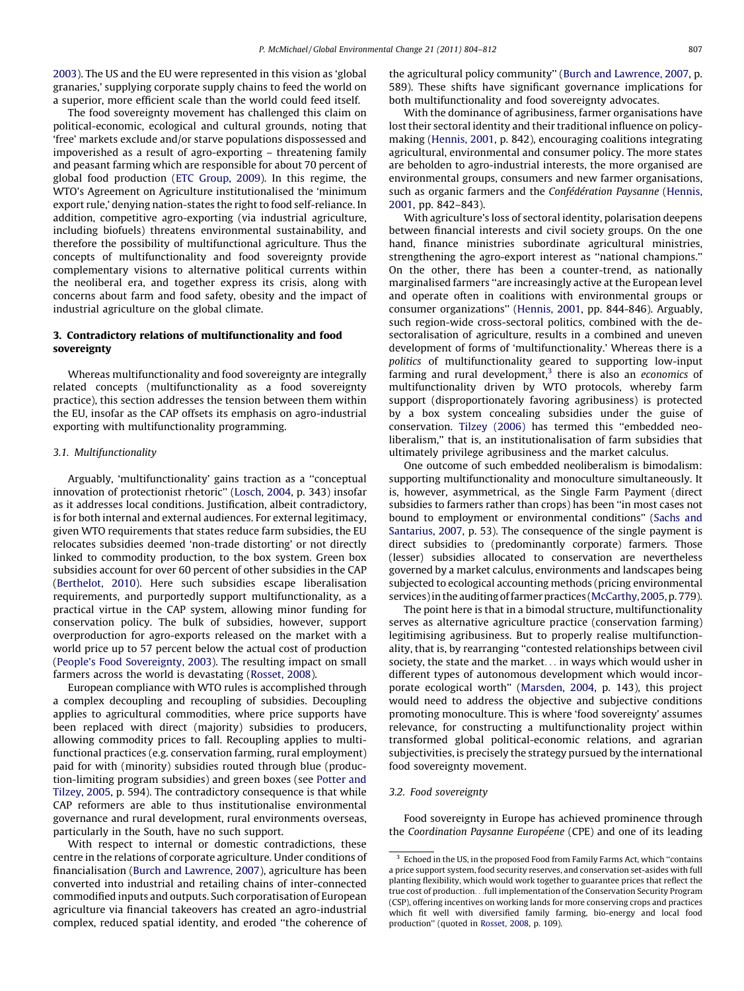[2003\)](#page-8-0). The US and the EU were represented in this vision as 'global granaries,' supplying corporate supply chains to feed the world on a superior, more efficient scale than the world could feed itself.

The food sovereignty movement has challenged this claim on political-economic, ecological and cultural grounds, noting that 'free' markets exclude and/or starve populations dispossessed and impoverished as a result of agro-exporting – threatening family and peasant farming which are responsible for about 70 percent of global food production (ETC [Group,](#page-7-0) 2009). In this regime, the WTO's Agreement on Agriculture institutionalised the 'minimum export rule,' denying nation-states the right to food self-reliance. In addition, competitive agro-exporting (via industrial agriculture, including biofuels) threatens environmental sustainability, and therefore the possibility of multifunctional agriculture. Thus the concepts of multifunctionality and food sovereignty provide complementary visions to alternative political currents within the neoliberal era, and together express its crisis, along with concerns about farm and food safety, obesity and the impact of industrial agriculture on the global climate.

# 3. Contradictory relations of multifunctionality and food sovereignty

Whereas multifunctionality and food sovereignty are integrally related concepts (multifunctionality as a food sovereignty practice), this section addresses the tension between them within the EU, insofar as the CAP offsets its emphasis on agro-industrial exporting with multifunctionality programming.

#### 3.1. Multifunctionality

Arguably, 'multifunctionality' gains traction as a ''conceptual innovation of protectionist rhetoric'' ([Losch,](#page-7-0) 2004, p. 343) insofar as it addresses local conditions. Justification, albeit contradictory, is for both internal and external audiences. For external legitimacy, given WTO requirements that states reduce farm subsidies, the EU relocates subsidies deemed 'non-trade distorting' or not directly linked to commodity production, to the box system. Green box subsidies account for over 60 percent of other subsidies in the CAP ([Berthelot,](#page-7-0) 2010). Here such subsidies escape liberalisation requirements, and purportedly support multifunctionality, as a practical virtue in the CAP system, allowing minor funding for conservation policy. The bulk of subsidies, however, support overproduction for agro-exports released on the market with a world price up to 57 percent below the actual cost of production (People's Food [Sovereignty,](#page-8-0) 2003). The resulting impact on small farmers across the world is devastating ([Rosset,](#page-8-0) 2008).

European compliance with WTO rules is accomplished through a complex decoupling and recoupling of subsidies. Decoupling applies to agricultural commodities, where price supports have been replaced with direct (majority) subsidies to producers, allowing commodity prices to fall. Recoupling applies to multifunctional practices (e.g. conservation farming, rural employment) paid for with (minority) subsidies routed through blue (production-limiting program subsidies) and green boxes (see [Potter](#page-8-0) and [Tilzey,](#page-8-0) 2005, p. 594). The contradictory consequence is that while CAP reformers are able to thus institutionalise environmental governance and rural development, rural environments overseas, particularly in the South, have no such support.

With respect to internal or domestic contradictions, these centre in the relations of corporate agriculture. Under conditions of financialisation (Burch and [Lawrence,](#page-7-0) 2007), agriculture has been converted into industrial and retailing chains of inter-connected commodified inputs and outputs. Such corporatisation of European agriculture via financial takeovers has created an agro-industrial complex, reduced spatial identity, and eroded ''the coherence of the agricultural policy community'' (Burch and [Lawrence,](#page-7-0) 2007, p. 589). These shifts have significant governance implications for both multifunctionality and food sovereignty advocates.

With the dominance of agribusiness, farmer organisations have lost their sectoral identity and their traditional influence on policymaking ([Hennis,](#page-7-0) 2001, p. 842), encouraging coalitions integrating agricultural, environmental and consumer policy. The more states are beholden to agro-industrial interests, the more organised are environmental groups, consumers and new farmer organisations, such as organic farmers and the Confédération Paysanne ([Hennis,](#page-7-0) [2001,](#page-7-0) pp. 842–843).

With agriculture's loss of sectoral identity, polarisation deepens between financial interests and civil society groups. On the one hand, finance ministries subordinate agricultural ministries, strengthening the agro-export interest as ''national champions.'' On the other, there has been a counter-trend, as nationally marginalised farmers ''are increasingly active at the European level and operate often in coalitions with environmental groups or consumer organizations'' [\(Hennis,](#page-7-0) 2001, pp. 844-846). Arguably, such region-wide cross-sectoral politics, combined with the desectoralisation of agriculture, results in a combined and uneven development of forms of 'multifunctionality.' Whereas there is a politics of multifunctionality geared to supporting low-input farming and rural development, $3$  there is also an economics of multifunctionality driven by WTO protocols, whereby farm support (disproportionately favoring agribusiness) is protected by a box system concealing subsidies under the guise of conservation. Tilzey [\(2006\)](#page-8-0) has termed this ''embedded neoliberalism,'' that is, an institutionalisation of farm subsidies that ultimately privilege agribusiness and the market calculus.

One outcome of such embedded neoliberalism is bimodalism: supporting multifunctionality and monoculture simultaneously. It is, however, asymmetrical, as the Single Farm Payment (direct subsidies to farmers rather than crops) has been ''in most cases not bound to employment or environmental conditions'' ([Sachs](#page-8-0) and [Santarius,](#page-8-0) 2007, p. 53). The consequence of the single payment is direct subsidies to (predominantly corporate) farmers. Those (lesser) subsidies allocated to conservation are nevertheless governed by a market calculus, environments and landscapes being subjected to ecological accounting methods (pricing environmental services) in the auditing of farmer practices (McCarthy, 2005, p. 779).

The point here is that in a bimodal structure, multifunctionality serves as alternative agriculture practice (conservation farming) legitimising agribusiness. But to properly realise multifunctionality, that is, by rearranging ''contested relationships between civil society, the state and the market. . . in ways which would usher in different types of autonomous development which would incorporate ecological worth'' [\(Marsden,](#page-7-0) 2004, p. 143), this project would need to address the objective and subjective conditions promoting monoculture. This is where 'food sovereignty' assumes relevance, for constructing a multifunctionality project within transformed global political-economic relations, and agrarian subjectivities, is precisely the strategy pursued by the international food sovereignty movement.

#### 3.2. Food sovereignty

Food sovereignty in Europe has achieved prominence through the Coordination Paysanne Européene (CPE) and one of its leading

 $3$  Echoed in the US, in the proposed Food from Family Farms Act, which "contains a price support system, food security reserves, and conservation set-asides with full planting flexibility, which would work together to guarantee prices that reflect the true cost of production. . .full implementation of the Conservation Security Program (CSP), offering incentives on working lands for more conserving crops and practices which fit well with diversified family farming, bio-energy and local food production'' (quoted in [Rosset,](#page-8-0) 2008, p. 109).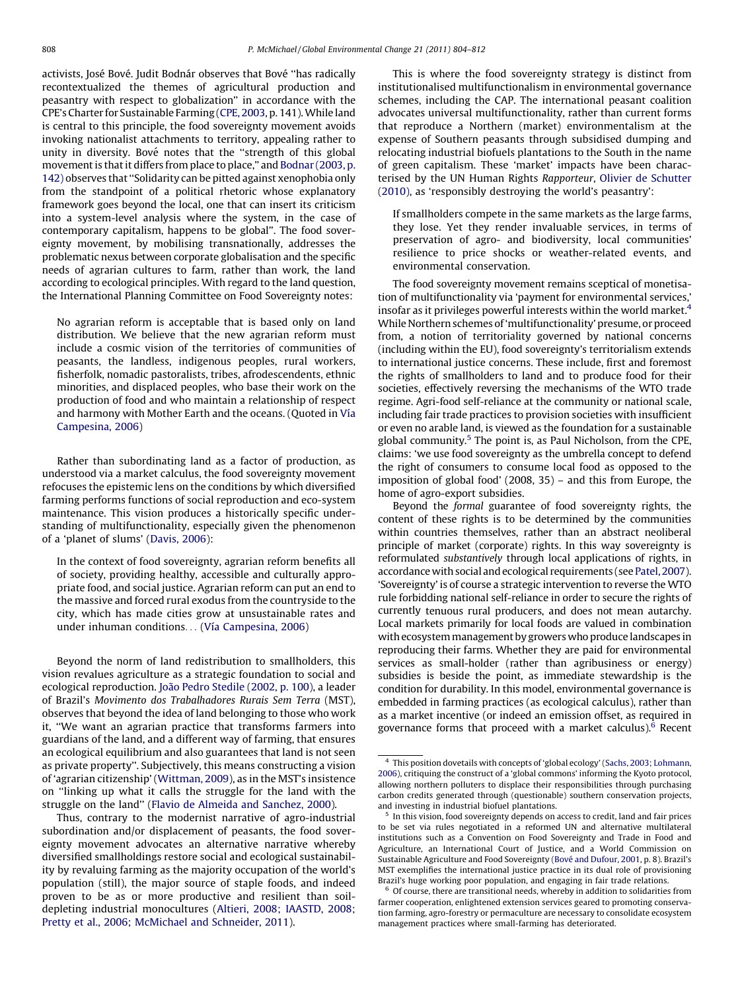activists, José Bové. Judit Bodnár observes that Bové "has radically recontextualized the themes of agricultural production and peasantry with respect to globalization'' in accordance with the CPE'sCharter for Sustainable Farming (CPE, [2003](#page-7-0), p. 141).While land is central to this principle, the food sovereignty movement avoids invoking nationalist attachments to territory, appealing rather to unity in diversity. Bové notes that the "strength of this global movement is that it differs from place to place," and [Bodnar](#page-7-0) (2003, p. [142\)](#page-7-0) observes that''Solidarity can be pitted against xenophobia only from the standpoint of a political rhetoric whose explanatory framework goes beyond the local, one that can insert its criticism into a system-level analysis where the system, in the case of contemporary capitalism, happens to be global''. The food sovereignty movement, by mobilising transnationally, addresses the problematic nexus between corporate globalisation and the specific needs of agrarian cultures to farm, rather than work, the land according to ecological principles. With regard to the land question,

No agrarian reform is acceptable that is based only on land distribution. We believe that the new agrarian reform must include a cosmic vision of the territories of communities of peasants, the landless, indigenous peoples, rural workers, fisherfolk, nomadic pastoralists, tribes, afrodescendents, ethnic minorities, and displaced peoples, who base their work on the production of food and who maintain a relationship of respect and harmony with Mother Earth and the oceans. (Quoted in Vía [Campesina,](#page-8-0) 2006)

the International Planning Committee on Food Sovereignty notes:

Rather than subordinating land as a factor of production, as understood via a market calculus, the food sovereignty movement refocuses the epistemic lens on the conditions by which diversified farming performs functions of social reproduction and eco-system maintenance. This vision produces a historically specific understanding of multifunctionality, especially given the phenomenon of a 'planet of slums' [\(Davis,](#page-7-0) 2006):

In the context of food sovereignty, agrarian reform benefits all of society, providing healthy, accessible and culturally appropriate food, and social justice. Agrarian reform can put an end to the massive and forced rural exodus from the countryside to the city, which has made cities grow at unsustainable rates and under inhuman conditions... (Vía [Campesina,](#page-8-0) 2006)

Beyond the norm of land redistribution to smallholders, this vision revalues agriculture as a strategic foundation to social and ecological reproduction. João Pedro [Stedile](#page-8-0) (2002, p. 100), a leader of Brazil's Movimento dos Trabalhadores Rurais Sem Terra (MST), observes that beyond the idea of land belonging to those who work it, ''We want an agrarian practice that transforms farmers into guardians of the land, and a different way of farming, that ensures an ecological equilibrium and also guarantees that land is not seen as private property''. Subjectively, this means constructing a vision of 'agrarian citizenship' [\(Wittman,](#page-8-0) 2009), as in the MST's insistence on ''linking up what it calls the struggle for the land with the struggle on the land'' (Flavio de Almeida and [Sanchez,](#page-7-0) 2000).

This is where the food sovereignty strategy is distinct from institutionalised multifunctionalism in environmental governance schemes, including the CAP. The international peasant coalition advocates universal multifunctionality, rather than current forms that reproduce a Northern (market) environmentalism at the expense of Southern peasants through subsidised dumping and relocating industrial biofuels plantations to the South in the name of green capitalism. These 'market' impacts have been characterised by the UN Human Rights Rapporteur, Olivier de [Schutter](#page-8-0) [\(2010\),](#page-8-0) as 'responsibly destroying the world's peasantry':

If smallholders compete in the same markets as the large farms, they lose. Yet they render invaluable services, in terms of preservation of agro- and biodiversity, local communities' resilience to price shocks or weather-related events, and environmental conservation.

The food sovereignty movement remains sceptical of monetisation of multifunctionality via 'payment for environmental services,' insofar as it privileges powerful interests within the world market.<sup>4</sup> While Northern schemes of 'multifunctionality' presume, or proceed from, a notion of territoriality governed by national concerns (including within the EU), food sovereignty's territorialism extends to international justice concerns. These include, first and foremost the rights of smallholders to land and to produce food for their societies, effectively reversing the mechanisms of the WTO trade regime. Agri-food self-reliance at the community or national scale, including fair trade practices to provision societies with insufficient or even no arable land, is viewed as the foundation for a sustainable global community. $5$  The point is, as Paul Nicholson, from the CPE, claims: 'we use food sovereignty as the umbrella concept to defend the right of consumers to consume local food as opposed to the imposition of global food' (2008, 35) – and this from Europe, the home of agro-export subsidies.

Beyond the formal guarantee of food sovereignty rights, the content of these rights is to be determined by the communities within countries themselves, rather than an abstract neoliberal principle of market (corporate) rights. In this way sovereignty is reformulated substantively through local applications of rights, in accordance with social and ecological requirements (see Patel, 2007). 'Sovereignty' is of course a strategic intervention to reverse the WTO rule forbidding national self-reliance in order to secure the rights of currently tenuous rural producers, and does not mean autarchy. Local markets primarily for local foods are valued in combination with ecosystem management by growers who produce landscapes in reproducing their farms. Whether they are paid for environmental services as small-holder (rather than agribusiness or energy) subsidies is beside the point, as immediate stewardship is the condition for durability. In this model, environmental governance is embedded in farming practices (as ecological calculus), rather than as a market incentive (or indeed an emission offset, as required in governance forms that proceed with a market calculus). $6$  Recent

Thus, contrary to the modernist narrative of agro-industrial subordination and/or displacement of peasants, the food sovereignty movement advocates an alternative narrative whereby diversified smallholdings restore social and ecological sustainability by revaluing farming as the majority occupation of the world's population (still), the major source of staple foods, and indeed proven to be as or more productive and resilient than soildepleting industrial monocultures (Altieri, 2008; [IAASTD,](#page-7-0) 2008; Pretty et al., 2006; [McMichael](#page-7-0) and Schneider, 2011).

<sup>4</sup> This position dovetails with concepts of 'global ecology' (Sachs, 2003; [Lohmann,](#page-8-0) [2006\)](#page-8-0), critiquing the construct of a 'global commons' informing the Kyoto protocol, allowing northern polluters to displace their responsibilities through purchasing carbon credits generated through (questionable) southern conservation projects, and investing in industrial biofuel plantations.

<sup>5</sup> In this vision, food sovereignty depends on access to credit, land and fair prices to be set via rules negotiated in a reformed UN and alternative multilateral institutions such as a Convention on Food Sovereignty and Trade in Food and Agriculture, an International Court of Justice, and a World Commission on Sustainable Agriculture and Food Sovereignty (Bové and [Dufour,](#page-7-0) 2001, p. 8). Brazil's MST exemplifies the international justice practice in its dual role of provisioning Brazil's huge working poor population, and engaging in fair trade relations.

<sup>6</sup> Of course, there are transitional needs, whereby in addition to solidarities from farmer cooperation, enlightened extension services geared to promoting conservation farming, agro-forestry or permaculture are necessary to consolidate ecosystem management practices where small-farming has deteriorated.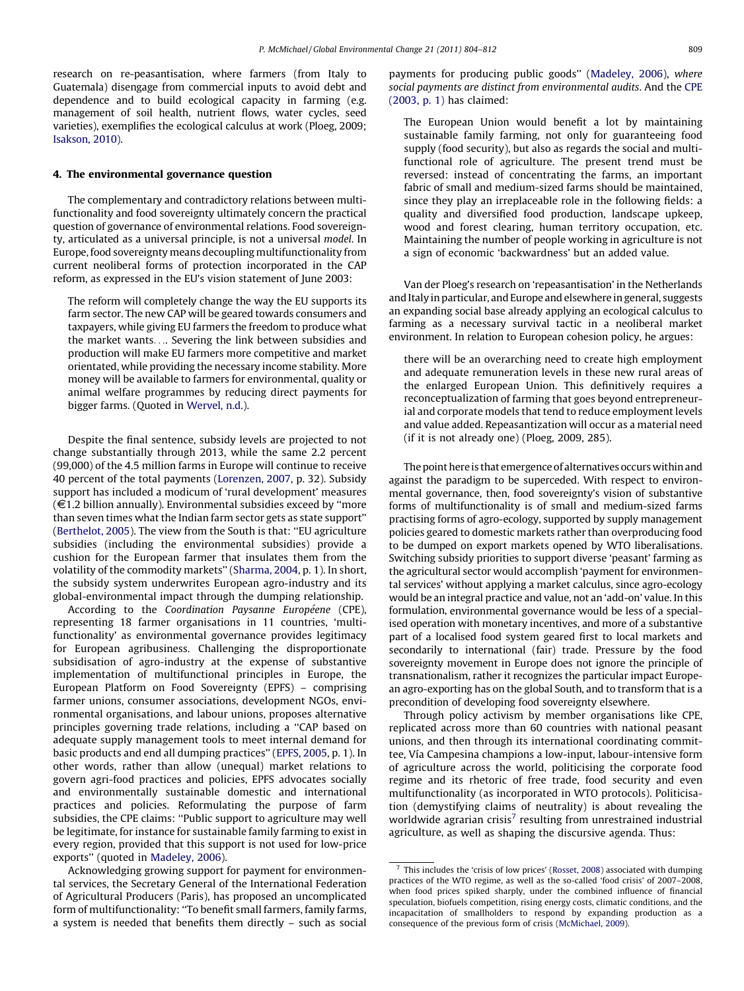research on re-peasantisation, where farmers (from Italy to Guatemala) disengage from commercial inputs to avoid debt and dependence and to build ecological capacity in farming (e.g. management of soil health, nutrient flows, water cycles, seed varieties), exemplifies the ecological calculus at work (Ploeg, 2009; [Isakson,](#page-7-0) 2010).

## 4. The environmental governance question

The complementary and contradictory relations between multifunctionality and food sovereignty ultimately concern the practical question of governance of environmental relations. Food sovereignty, articulated as a universal principle, is not a universal model. In Europe,food sovereignty means decoupling multifunctionality from current neoliberal forms of protection incorporated in the CAP reform, as expressed in the EU's vision statement of June 2003:

The reform will completely change the way the EU supports its farm sector. The new CAP will be geared towards consumers and taxpayers, while giving EU farmers the freedom to produce what the market wants. . .. Severing the link between subsidies and production will make EU farmers more competitive and market orientated, while providing the necessary income stability. More money will be available to farmers for environmental, quality or animal welfare programmes by reducing direct payments for bigger farms. (Quoted in [Wervel,](#page-8-0) n.d.).

Despite the final sentence, subsidy levels are projected to not change substantially through 2013, while the same 2.2 percent (99,000) of the 4.5 million farms in Europe will continue to receive 40 percent of the total payments [\(Lorenzen,](#page-7-0) 2007, p. 32). Subsidy support has included a modicum of 'rural development' measures  $(\epsilon 1.2$  billion annually). Environmental subsidies exceed by "more than seven times what the Indian farm sector gets as state support" ([Berthelot,](#page-7-0) 2005). The view from the South is that: ''EU agriculture subsidies (including the environmental subsidies) provide a cushion for the European farmer that insulates them from the volatility of the commodity markets'' ([Sharma,](#page-8-0) 2004, p. 1). In short, the subsidy system underwrites European agro-industry and its global-environmental impact through the dumping relationship.

According to the Coordination Paysanne Européene (CPE), representing 18 farmer organisations in 11 countries, 'multifunctionality' as environmental governance provides legitimacy for European agribusiness. Challenging the disproportionate subsidisation of agro-industry at the expense of substantive implementation of multifunctional principles in Europe, the European Platform on Food Sovereignty (EPFS) – comprising farmer unions, consumer associations, development NGOs, environmental organisations, and labour unions, proposes alternative principles governing trade relations, including a ''CAP based on adequate supply management tools to meet internal demand for basic products and end all dumping practices'' [\(EPFS,](#page-7-0) 2005, p. 1). In other words, rather than allow (unequal) market relations to govern agri-food practices and policies, EPFS advocates socially and environmentally sustainable domestic and international practices and policies. Reformulating the purpose of farm subsidies, the CPE claims: ''Public support to agriculture may well be legitimate, for instance for sustainable family farming to exist in every region, provided that this support is not used for low-price exports'' (quoted in [Madeley,](#page-7-0) 2006).

Acknowledging growing support for payment for environmental services, the Secretary General of the International Federation of Agricultural Producers (Paris), has proposed an uncomplicated form of multifunctionality: ''To benefit small farmers, family farms, a system is needed that benefits them directly – such as social payments for producing public goods'' ([Madeley,](#page-7-0) 2006), where social payments are distinct from environmental audits. And the [CPE](#page-7-0) [\(2003,](#page-7-0) p. 1) has claimed:

The European Union would benefit a lot by maintaining sustainable family farming, not only for guaranteeing food supply (food security), but also as regards the social and multifunctional role of agriculture. The present trend must be reversed: instead of concentrating the farms, an important fabric of small and medium-sized farms should be maintained, since they play an irreplaceable role in the following fields: a quality and diversified food production, landscape upkeep, wood and forest clearing, human territory occupation, etc. Maintaining the number of people working in agriculture is not a sign of economic 'backwardness' but an added value.

Van der Ploeg's research on 'repeasantisation' in the Netherlands and Italy in particular, and Europe and elsewhere in general, suggests an expanding social base already applying an ecological calculus to farming as a necessary survival tactic in a neoliberal market environment. In relation to European cohesion policy, he argues:

there will be an overarching need to create high employment and adequate remuneration levels in these new rural areas of the enlarged European Union. This definitively requires a reconceptualization of farming that goes beyond entrepreneurial and corporate models that tend to reduce employment levels and value added. Repeasantization will occur as a material need (if it is not already one) (Ploeg, 2009, 285).

The point here is that emergence of alternatives occurs within and against the paradigm to be superceded. With respect to environmental governance, then, food sovereignty's vision of substantive forms of multifunctionality is of small and medium-sized farms practising forms of agro-ecology, supported by supply management policies geared to domestic markets rather than overproducing food to be dumped on export markets opened by WTO liberalisations. Switching subsidy priorities to support diverse 'peasant' farming as the agricultural sector would accomplish 'payment for environmental services' without applying a market calculus, since agro-ecology would be an integral practice and value, not an 'add-on' value. In this formulation, environmental governance would be less of a specialised operation with monetary incentives, and more of a substantive part of a localised food system geared first to local markets and secondarily to international (fair) trade. Pressure by the food sovereignty movement in Europe does not ignore the principle of transnationalism, rather it recognizes the particular impact European agro-exporting has on the global South, and to transform that is a precondition of developing food sovereignty elsewhere.

Through policy activism by member organisations like CPE, replicated across more than 60 countries with national peasant unions, and then through its international coordinating committee, Vía Campesina champions a low-input, labour-intensive form of agriculture across the world, politicising the corporate food regime and its rhetoric of free trade, food security and even multifunctionality (as incorporated in WTO protocols). Politicisation (demystifying claims of neutrality) is about revealing the worldwide agrarian crisis<sup>7</sup> resulting from unrestrained industrial agriculture, as well as shaping the discursive agenda. Thus:

 $7$  This includes the 'crisis of low prices' [\(Rosset,](#page-8-0) 2008) associated with dumping practices of the WTO regime, as well as the so-called 'food crisis' of 2007–2008, when food prices spiked sharply, under the combined influence of financial speculation, biofuels competition, rising energy costs, climatic conditions, and the incapacitation of smallholders to respond by expanding production as a consequence of the previous form of crisis ([McMichael,](#page-8-0) 2009).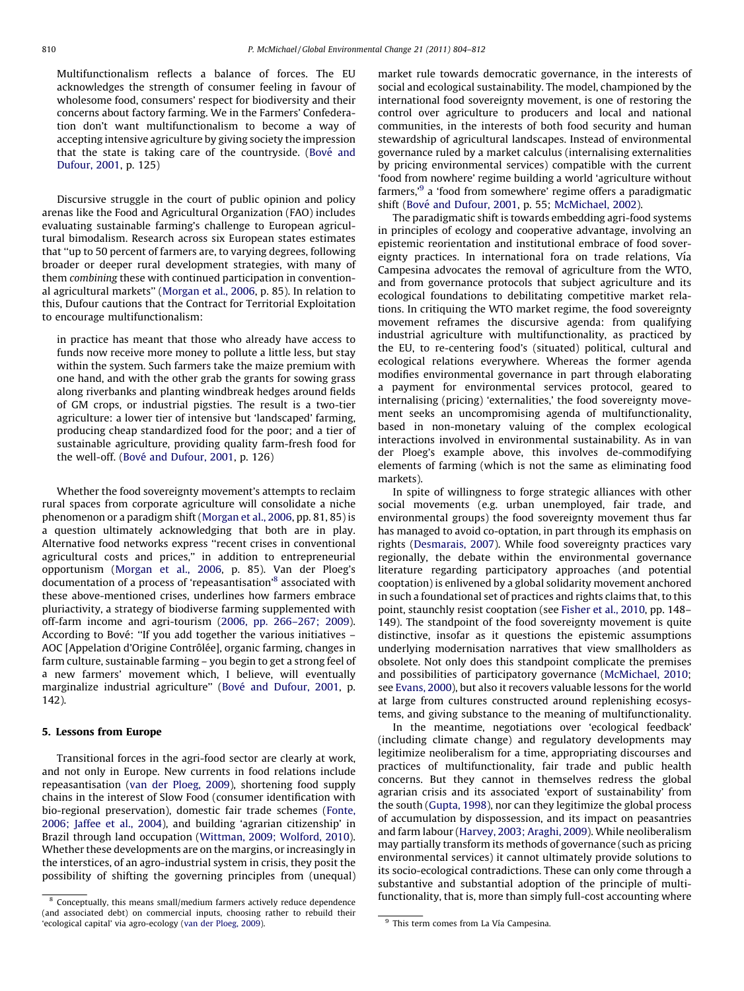Multifunctionalism reflects a balance of forces. The EU acknowledges the strength of consumer feeling in favour of wholesome food, consumers' respect for biodiversity and their concerns about factory farming. We in the Farmers' Confederation don't want multifunctionalism to become a way of accepting intensive agriculture by giving society the impression that the state is taking care of the countryside. (Bové and [Dufour,](#page-7-0) 2001, p. 125)

Discursive struggle in the court of public opinion and policy arenas like the Food and Agricultural Organization (FAO) includes evaluating sustainable farming's challenge to European agricultural bimodalism. Research across six European states estimates that ''up to 50 percent of farmers are, to varying degrees, following broader or deeper rural development strategies, with many of them combining these with continued participation in conventional agricultural markets'' [\(Morgan](#page-8-0) et al., 2006, p. 85). In relation to this, Dufour cautions that the Contract for Territorial Exploitation to encourage multifunctionalism:

in practice has meant that those who already have access to funds now receive more money to pollute a little less, but stay within the system. Such farmers take the maize premium with one hand, and with the other grab the grants for sowing grass along riverbanks and planting windbreak hedges around fields of GM crops, or industrial pigsties. The result is a two-tier agriculture: a lower tier of intensive but 'landscaped' farming, producing cheap standardized food for the poor; and a tier of sustainable agriculture, providing quality farm-fresh food for the well-off. (Bové and [Dufour,](#page-7-0) 2001, p. 126)

Whether the food sovereignty movement's attempts to reclaim rural spaces from corporate agriculture will consolidate a niche phenomenon or a paradigm shift ([Morgan](#page-8-0) et al., 2006, pp. 81, 85) is a question ultimately acknowledging that both are in play. Alternative food networks express ''recent crises in conventional agricultural costs and prices,'' in addition to entrepreneurial opportunism [\(Morgan](#page-8-0) et al., 2006, p. 85). Van der Ploeg's documentation of a process of 'repeasantisation'8 associated with these above-mentioned crises, underlines how farmers embrace pluriactivity, a strategy of biodiverse farming supplemented with off-farm income and agri-tourism (2006, pp. [266–267;](#page-8-0) 2009). According to Bové: "If you add together the various initiatives -AOC [Appelation d'Origine Contrôlée], organic farming, changes in farm culture, sustainable farming – you begin to get a strong feel of a new farmers' movement which, I believe, will eventually marginalize industrial agriculture" (Bové and [Dufour,](#page-7-0) 2001, p. 142).

#### 5. Lessons from Europe

Transitional forces in the agri-food sector are clearly at work, and not only in Europe. New currents in food relations include repeasantisation (van der [Ploeg,](#page-8-0) 2009), shortening food supply chains in the interest of Slow Food (consumer identification with bio-regional preservation), domestic fair trade schemes ([Fonte,](#page-7-0) [2006;](#page-7-0) Jaffee et al., 2004), and building 'agrarian citizenship' in Brazil through land occupation ([Wittman,](#page-8-0) 2009; Wolford, 2010). Whether these developments are on the margins, or increasingly in the interstices, of an agro-industrial system in crisis, they posit the possibility of shifting the governing principles from (unequal) market rule towards democratic governance, in the interests of social and ecological sustainability. The model, championed by the international food sovereignty movement, is one of restoring the control over agriculture to producers and local and national communities, in the interests of both food security and human stewardship of agricultural landscapes. Instead of environmental governance ruled by a market calculus (internalising externalities by pricing environmental services) compatible with the current 'food from nowhere' regime building a world 'agriculture without farmers,'9 a 'food from somewhere' regime offers a paradigmatic shift (Bové and [Dufour,](#page-7-0) 2001, p. 55; [McMichael,](#page-8-0) 2002).

The paradigmatic shift is towards embedding agri-food systems in principles of ecology and cooperative advantage, involving an epistemic reorientation and institutional embrace of food sovereignty practices. In international fora on trade relations, Vía Campesina advocates the removal of agriculture from the WTO, and from governance protocols that subject agriculture and its ecological foundations to debilitating competitive market relations. In critiquing the WTO market regime, the food sovereignty movement reframes the discursive agenda: from qualifying industrial agriculture with multifunctionality, as practiced by the EU, to re-centering food's (situated) political, cultural and ecological relations everywhere. Whereas the former agenda modifies environmental governance in part through elaborating a payment for environmental services protocol, geared to internalising (pricing) 'externalities,' the food sovereignty movement seeks an uncompromising agenda of multifunctionality, based in non-monetary valuing of the complex ecological interactions involved in environmental sustainability. As in van der Ploeg's example above, this involves de-commodifying elements of farming (which is not the same as eliminating food markets).

In spite of willingness to forge strategic alliances with other social movements (e.g. urban unemployed, fair trade, and environmental groups) the food sovereignty movement thus far has managed to avoid co-optation, in part through its emphasis on rights [\(Desmarais,](#page-7-0) 2007). While food sovereignty practices vary regionally, the debate within the environmental governance literature regarding participatory approaches (and potential cooptation) is enlivened by a global solidarity movement anchored in such a foundational set of practices and rights claims that, to this point, staunchly resist cooptation (see [Fisher](#page-7-0) et al., 2010, pp. 148– 149). The standpoint of the food sovereignty movement is quite distinctive, insofar as it questions the epistemic assumptions underlying modernisation narratives that view smallholders as obsolete. Not only does this standpoint complicate the premises and possibilities of participatory governance [\(McMichael,](#page-8-0) 2010; see [Evans,](#page-7-0) 2000), but also it recovers valuable lessons for the world at large from cultures constructed around replenishing ecosystems, and giving substance to the meaning of multifunctionality.

In the meantime, negotiations over 'ecological feedback' (including climate change) and regulatory developments may legitimize neoliberalism for a time, appropriating discourses and practices of multifunctionality, fair trade and public health concerns. But they cannot in themselves redress the global agrarian crisis and its associated 'export of sustainability' from the south ([Gupta,](#page-7-0) 1998), nor can they legitimize the global process of accumulation by dispossession, and its impact on peasantries and farm labour ([Harvey,](#page-7-0) 2003; Araghi, 2009). While neoliberalism may partially transform its methods of governance (such as pricing environmental services) it cannot ultimately provide solutions to its socio-ecological contradictions. These can only come through a substantive and substantial adoption of the principle of multi- $\frac{8}{3}$  Conceptually, this means small/medium farmers actively reduce dependence functionality, that is, more than simply full-cost accounting where

<sup>(</sup>and associated debt) on commercial inputs, choosing rather to rebuild their 'ecological capital' via agro-ecology (van der [Ploeg,](#page-8-0) 2009). 19 This term comes from La Via Campesina.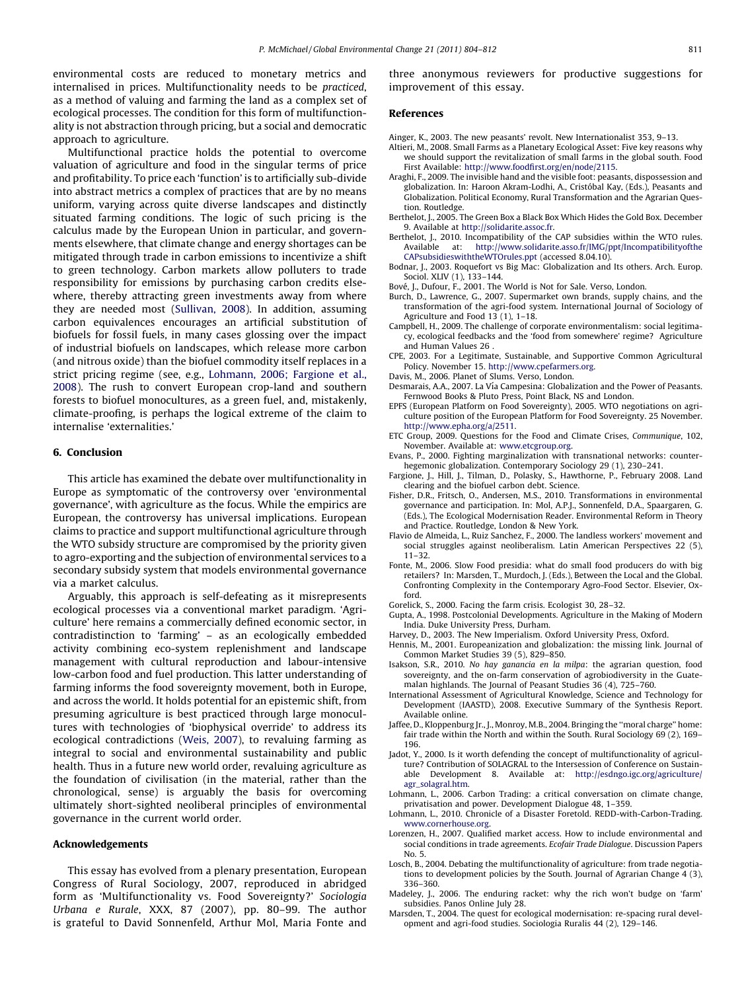<span id="page-7-0"></span>environmental costs are reduced to monetary metrics and internalised in prices. Multifunctionality needs to be practiced, as a method of valuing and farming the land as a complex set of ecological processes. The condition for this form of multifunctionality is not abstraction through pricing, but a social and democratic approach to agriculture.

Multifunctional practice holds the potential to overcome valuation of agriculture and food in the singular terms of price and profitability. To price each 'function' is to artificially sub-divide into abstract metrics a complex of practices that are by no means uniform, varying across quite diverse landscapes and distinctly situated farming conditions. The logic of such pricing is the calculus made by the European Union in particular, and governments elsewhere, that climate change and energy shortages can be mitigated through trade in carbon emissions to incentivize a shift to green technology. Carbon markets allow polluters to trade responsibility for emissions by purchasing carbon credits elsewhere, thereby attracting green investments away from where they are needed most [\(Sullivan,](#page-8-0) 2008). In addition, assuming carbon equivalences encourages an artificial substitution of biofuels for fossil fuels, in many cases glossing over the impact of industrial biofuels on landscapes, which release more carbon (and nitrous oxide) than the biofuel commodity itself replaces in a strict pricing regime (see, e.g., Lohmann, 2006; Fargione et al., 2008). The rush to convert European crop-land and southern forests to biofuel monocultures, as a green fuel, and, mistakenly, climate-proofing, is perhaps the logical extreme of the claim to internalise 'externalities.'

## 6. Conclusion

This article has examined the debate over multifunctionality in Europe as symptomatic of the controversy over 'environmental governance', with agriculture as the focus. While the empirics are European, the controversy has universal implications. European claims to practice and support multifunctional agriculture through the WTO subsidy structure are compromised by the priority given to agro-exporting and the subjection of environmental services to a secondary subsidy system that models environmental governance via a market calculus.

Arguably, this approach is self-defeating as it misrepresents ecological processes via a conventional market paradigm. 'Agriculture' here remains a commercially defined economic sector, in contradistinction to 'farming' – as an ecologically embedded activity combining eco-system replenishment and landscape management with cultural reproduction and labour-intensive low-carbon food and fuel production. This latter understanding of farming informs the food sovereignty movement, both in Europe, and across the world. It holds potential for an epistemic shift, from presuming agriculture is best practiced through large monocultures with technologies of 'biophysical override' to address its ecological contradictions [\(Weis,](#page-8-0) 2007), to revaluing farming as integral to social and environmental sustainability and public health. Thus in a future new world order, revaluing agriculture as the foundation of civilisation (in the material, rather than the chronological, sense) is arguably the basis for overcoming ultimately short-sighted neoliberal principles of environmental governance in the current world order.

#### Acknowledgements

This essay has evolved from a plenary presentation, European Congress of Rural Sociology, 2007, reproduced in abridged form as 'Multifunctionality vs. Food Sovereignty?' Sociologia Urbana e Rurale, XXX, 87 (2007), pp. 80–99. The author is grateful to David Sonnenfeld, Arthur Mol, Maria Fonte and three anonymous reviewers for productive suggestions for improvement of this essay.

#### References

Ainger, K., 2003. The new peasants' revolt. New Internationalist 353, 9–13.

- Altieri, M., 2008. Small Farms as a Planetary Ecological Asset: Five key reasons why we should support the revitalization of small farms in the global south. Food First Available: <http://www.foodfirst.org/en/node/2115>.
- Araghi, F., 2009. The invisible hand and the visible foot: peasants, dispossession and globalization. In: Haroon Akram-Lodhi, A., Cristóbal Kay, (Eds.), Peasants and Globalization. Political Economy, Rural Transformation and the Agrarian Question. Routledge.
- Berthelot, J., 2005. The Green Box a Black Box Which Hides the Gold Box. December 9. Available at [http://solidarite.assoc.fr.](http://solidarite.assoc.fr/)
- Berthelot, J., 2010. Incompatibility of the CAP subsidies within the WTO rules. Available at: [http://www.solidarite.asso.fr/IMG/ppt/Incompatibilityofthe](http://www.solidarite.asso.fr/IMG/ppt/IncompatibilityoftheCAPsubsidieswiththeWTOrules.ppt) [CAPsubsidieswiththeWTOrules.ppt](http://www.solidarite.asso.fr/IMG/ppt/IncompatibilityoftheCAPsubsidieswiththeWTOrules.ppt) (accessed 8.04.10).
- Bodnar, J., 2003. Roquefort vs Big Mac: Globalization and Its others. Arch. Europ. Sociol. XLIV (1), 133–144.
- Bové, J., Dufour, F., 2001. The World is Not for Sale. Verso, London.
- Burch, D., Lawrence, G., 2007. Supermarket own brands, supply chains, and the transformation of the agri-food system. International Journal of Sociology of Agriculture and Food 13 (1), 1–18.
- Campbell, H., 2009. The challenge of corporate environmentalism: social legitimacy, ecological feedbacks and the 'food from somewhere' regime? Agriculture and Human Values 26 .
- CPE, 2003. For a Legitimate, Sustainable, and Supportive Common Agricultural Policy. November 15. [http://www.cpefarmers.org](http://www.cpefarmers.org/).
- Davis, M., 2006. Planet of Slums. Verso, London.

Desmarais, A.A., 2007. La Vía Campesina: Globalization and the Power of Peasants. Fernwood Books & Pluto Press, Point Black, NS and London.

- EPFS (European Platform on Food Sovereignty), 2005. WTO negotiations on agriculture position of the European Platform for Food Sovereignty. 25 November. <http://www.epha.org/a/2511>.
- ETC Group, 2009. Questions for the Food and Climate Crises, Communique, 102, November. Available at: [www.etcgroup.org](http://www.etcgroup.org/).
- Evans, P., 2000. Fighting marginalization with transnational networks: counterhegemonic globalization. Contemporary Sociology 29 (1), 230–241.
- Fargione, J., Hill, J., Tilman, D., Polasky, S., Hawthorne, P., February 2008. Land clearing and the biofuel carbon debt. Science.
- Fisher, D.R., Fritsch, O., Andersen, M.S., 2010. Transformations in environmental governance and participation. In: Mol, A.P.J., Sonnenfeld, D.A., Spaargaren, G. (Eds.), The Ecological Modernisation Reader. Environmental Reform in Theory and Practice. Routledge, London & New York.
- Flavio de Almeida, L., Ruiz Sanchez, F., 2000. The landless workers' movement and social struggles against neoliberalism. Latin American Perspectives 22 (5), 11–32.
- Fonte, M., 2006. Slow Food presidia: what do small food producers do with big retailers? In: Marsden, T., Murdoch, J. (Eds.), Between the Local and the Global. Confronting Complexity in the Contemporary Agro-Food Sector. Elsevier, Oxford.
- Gorelick, S., 2000. Facing the farm crisis. Ecologist 30, 28–32.
- Gupta, A., 1998. Postcolonial Developments. Agriculture in the Making of Modern India. Duke University Press, Durham.
- Harvey, D., 2003. The New Imperialism. Oxford University Press, Oxford.
- Hennis, M., 2001. Europeanization and globalization: the missing link. Journal of Common Market Studies 39 (5), 829–850.
- Isakson, S.R., 2010. No hay ganancia en la milpa: the agrarian question, food sovereignty, and the on-farm conservation of agrobiodiversity in the Guatemalan highlands. The Journal of Peasant Studies 36 (4), 725–760.
- International Assessment of Agricultural Knowledge, Science and Technology for Development (IAASTD), 2008. Executive Summary of the Synthesis Report. Available online.
- Jaffee, D., Kloppenburg Jr., J., Monroy, M.B., 2004. Bringing the ''moral charge'' home: fair trade within the North and within the South. Rural Sociology 69 (2), 169– 196.
- Jadot, Y., 2000. Is it worth defending the concept of multifunctionality of agriculture? Contribution of SOLAGRAL to the Intersession of Conference on Sustainable Development 8. Available at: [http://esdngo.igc.org/agriculture/](http://esdngo.igc.org/agriculture/agr_solagral.htm) [agr\\_solagral.htm.](http://esdngo.igc.org/agriculture/agr_solagral.htm)
- Lohmann, L., 2006. Carbon Trading: a critical conversation on climate change, privatisation and power. Development Dialogue 48, 1–359.
- Lohmann, L., 2010. Chronicle of a Disaster Foretold. REDD-with-Carbon-Trading. [www.cornerhouse.org.](http://www.cornerhouse.org/)
- Lorenzen, H., 2007. Qualified market access. How to include environmental and social conditions in trade agreements. Ecofair Trade Dialogue. Discussion Papers No. 5
- Losch, B., 2004. Debating the multifunctionality of agriculture: from trade negotiations to development policies by the South. Journal of Agrarian Change 4 (3), 336–360.
- Madeley, J., 2006. The enduring racket: why the rich won't budge on 'farm' subsidies. Panos Online July 28.
- Marsden, T., 2004. The quest for ecological modernisation: re-spacing rural development and agri-food studies. Sociologia Ruralis 44 (2), 129–146.